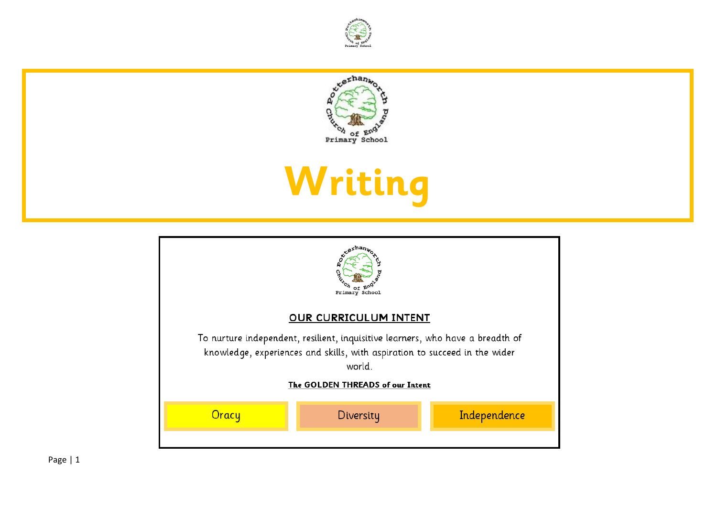



## **Writing**

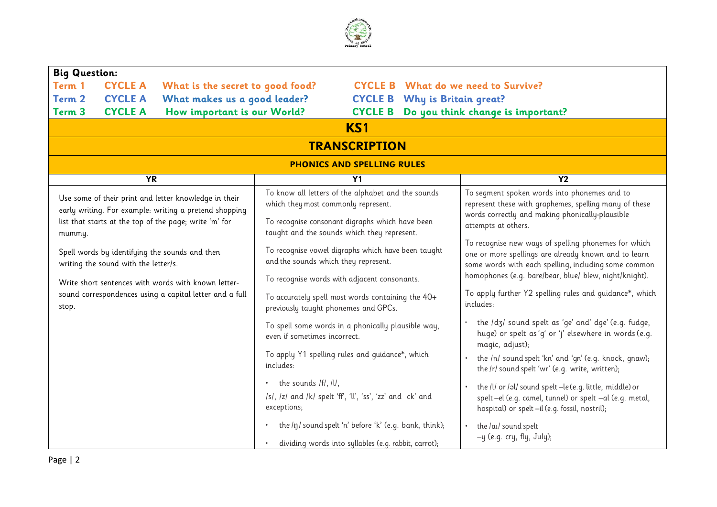

| <b>Big Question:</b>                                                                                                                                                      |                |                                                                                                                                                                                             |                                                                                           |                                      |                                                                                                                                                                                                                                |                                                                      |  |
|---------------------------------------------------------------------------------------------------------------------------------------------------------------------------|----------------|---------------------------------------------------------------------------------------------------------------------------------------------------------------------------------------------|-------------------------------------------------------------------------------------------|--------------------------------------|--------------------------------------------------------------------------------------------------------------------------------------------------------------------------------------------------------------------------------|----------------------------------------------------------------------|--|
| <b>CYCLE A</b><br>Term 1<br>What is the secret to good food?                                                                                                              |                |                                                                                                                                                                                             | <b>CYCLE B</b> What do we need to Survive?                                                |                                      |                                                                                                                                                                                                                                |                                                                      |  |
| Term 2                                                                                                                                                                    | <b>CYCLE A</b> | What makes us a good leader?                                                                                                                                                                |                                                                                           | <b>CYCLE B</b> Why is Britain great? |                                                                                                                                                                                                                                |                                                                      |  |
| Term <sub>3</sub>                                                                                                                                                         | <b>CYCLE A</b> | How important is our World?                                                                                                                                                                 |                                                                                           |                                      |                                                                                                                                                                                                                                | <b>CYCLE B</b> Do you think change is important?                     |  |
|                                                                                                                                                                           |                |                                                                                                                                                                                             |                                                                                           | KS1                                  |                                                                                                                                                                                                                                |                                                                      |  |
|                                                                                                                                                                           |                |                                                                                                                                                                                             |                                                                                           | <b>TRANSCRIPTION</b>                 |                                                                                                                                                                                                                                |                                                                      |  |
|                                                                                                                                                                           |                |                                                                                                                                                                                             |                                                                                           | <b>PHONICS AND SPELLING RULES</b>    |                                                                                                                                                                                                                                |                                                                      |  |
|                                                                                                                                                                           | <b>YR</b>      |                                                                                                                                                                                             |                                                                                           | Y <sub>1</sub>                       |                                                                                                                                                                                                                                | Y <sub>2</sub>                                                       |  |
| Use some of their print and letter knowledge in their<br>early writing. For example: writing a pretend shopping<br>list that starts at the top of the page; write 'm' for |                | To know all letters of the alphabet and the sounds<br>which they most commonly represent.<br>To recognise consonant digraphs which have been<br>taught and the sounds which they represent. |                                                                                           |                                      | To segment spoken words into phonemes and to<br>represent these with graphemes, spelling many of these<br>words correctly and making phonically-plausible<br>attempts at others.                                               |                                                                      |  |
| mummy.<br>Spell words by identifying the sounds and then<br>writing the sound with the letter/s.                                                                          |                | To recognise vowel digraphs which have been taught<br>and the sounds which they represent.<br>To recognise words with adjacent consonants.                                                  |                                                                                           |                                      | To recognise new ways of spelling phonemes for which<br>one or more spellings are already known and to learn<br>some words with each spelling, including some common<br>homophones (e.g. bare/bear, blue/ blew, night/knight). |                                                                      |  |
| Write short sentences with words with known letter-<br>sound correspondences using a capital letter and a full<br>stop.                                                   |                |                                                                                                                                                                                             | To accurately spell most words containing the 40+<br>previously taught phonemes and GPCs. |                                      |                                                                                                                                                                                                                                | To apply further Y2 spelling rules and quidance*, which<br>includes: |  |
|                                                                                                                                                                           |                | To spell some words in a phonically plausible way,<br>even if sometimes incorrect.                                                                                                          |                                                                                           |                                      | the /d3/ sound spelt as 'ge' and' dge' (e.g. fudge,<br>huge) or spelt as 'q' or 'j' elsewhere in words (e.g.<br>magic, adjust);                                                                                                |                                                                      |  |
|                                                                                                                                                                           |                | To apply Y1 spelling rules and quidance*, which<br>includes:                                                                                                                                |                                                                                           |                                      | the /n/ sound spelt 'kn' and 'qn' (e.g. knock, gnaw);<br>the /r/ sound spelt 'wr' (e.g. write, written);                                                                                                                       |                                                                      |  |
|                                                                                                                                                                           |                | the sounds /f/, /l/,<br>/s/, /z/ and /k/ spelt 'ff', 'll', 'ss', 'zz' and ck' and<br>exceptions;                                                                                            |                                                                                           |                                      | the /l/ or /al/ sound spelt -le (e.g. little, middle) or<br>$\bullet$<br>spelt-el (e.g. camel, tunnel) or spelt -al (e.g. metal,<br>hospital) or spelt-il (e.g. fossil, nostril);                                              |                                                                      |  |
|                                                                                                                                                                           |                | the /ŋ/ sound spelt 'n' before 'k' (e.g. bank, think);<br>$\bullet$<br>dividing words into syllables (e.g. rabbit, carrot);                                                                 |                                                                                           |                                      | the /aɪ/ sound spelt<br>$\bullet$<br>-y (e.g. cry, fly, July);                                                                                                                                                                 |                                                                      |  |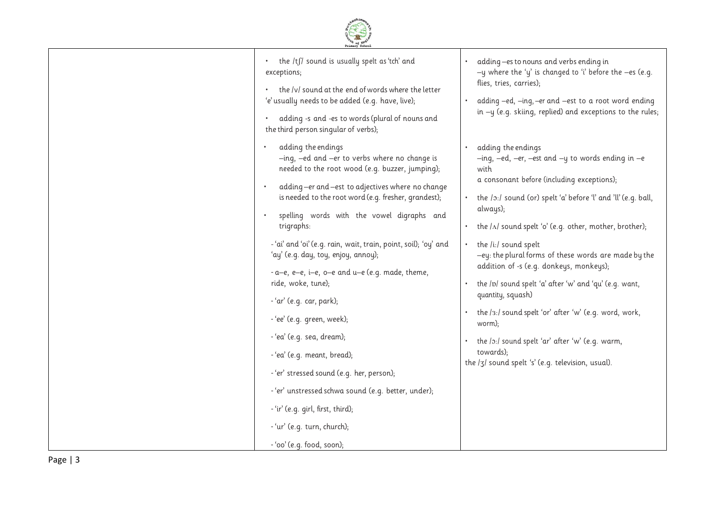

| the /tʃ/ sound is usually spelt as 'tch' and<br>$\bullet$<br>exceptions;<br>the /v/ sound at the end of words where the letter<br>'e' usually needs to be added (e.g. have, live);<br>adding -s and -es to words (plural of nouns and<br>the third person singular of verbs);<br>adding the endings                                                                                                                                                                                                                                                                                                                                                                                                                                                                 | adding-es to nouns and verbs ending in<br>$\bullet$<br>-y where the 'y' is changed to 'i' before the $-e$ s (e.g.<br>flies, tries, carries);<br>adding -ed, -ing, -er and -est to a root word ending<br>in $-y$ (e.g. skiing, replied) and exceptions to the rules;<br>adding the endings<br>$\bullet$                                                                                                                                                                                                                                                                                                                                                                                                           |
|---------------------------------------------------------------------------------------------------------------------------------------------------------------------------------------------------------------------------------------------------------------------------------------------------------------------------------------------------------------------------------------------------------------------------------------------------------------------------------------------------------------------------------------------------------------------------------------------------------------------------------------------------------------------------------------------------------------------------------------------------------------------|------------------------------------------------------------------------------------------------------------------------------------------------------------------------------------------------------------------------------------------------------------------------------------------------------------------------------------------------------------------------------------------------------------------------------------------------------------------------------------------------------------------------------------------------------------------------------------------------------------------------------------------------------------------------------------------------------------------|
| -ing, -ed and -er to verbs where no change is<br>needed to the root wood (e.g. buzzer, jumping);<br>adding-er and-est to adjectives where no change<br>is needed to the root word (e.g. fresher, grandest);<br>spelling words with the vowel digraphs and<br>trigraphs:<br>-'ai' and 'oi' (e.g. rain, wait, train, point, soil); 'oy' and<br>'ay' (e.g. day, toy, enjoy, annoy);<br>$-a-e$ , $e-e$ , $i-e$ , $o-e$ and $u-e$ (e.g. made, theme,<br>ride, woke, tune);<br>- 'ar' (e.g. car, park);<br>- 'ee' (e.g. green, week);<br>- 'ea' (e.g. sea, dream);<br>- 'ea' (e.g. meant, bread);<br>- 'er' stressed sound (e.g. her, person);<br>- 'er' unstressed schwa sound (e.g. better, under);<br>- 'ir' (e.g. girl, first, third);<br>- 'ur' (e.g. turn, church); | $-$ ing, $-$ ed, $-$ er, $-$ est and $-$ y to words ending in $-e$<br>with<br>a consonant before (including exceptions);<br>the /o:/ sound (or) spelt 'a' before 'l' and 'll' (e.g. ball,<br>$\bullet$<br>always);<br>the $ \Lambda $ sound spelt 'o' (e.g. other, mother, brother);<br>$\bullet$<br>the /i:/ sound spelt<br>$\bullet$<br>-ey: the plural forms of these words are made by the<br>addition of -s (e.g. donkeys, monkeys);<br>the /p/ sound spelt 'a' after 'w' and 'qu' (e.g. want,<br>quantity, squash)<br>the /3:/ sound spelt 'or' after 'w' (e.g. word, work,<br>worm);<br>the /o:/ sound spelt 'ar' after 'w' (e.q. warm,<br>towards);<br>the /3/ sound spelt 's' (e.g. television, usual). |
| - 'oo' (e.g. food, soon);                                                                                                                                                                                                                                                                                                                                                                                                                                                                                                                                                                                                                                                                                                                                           |                                                                                                                                                                                                                                                                                                                                                                                                                                                                                                                                                                                                                                                                                                                  |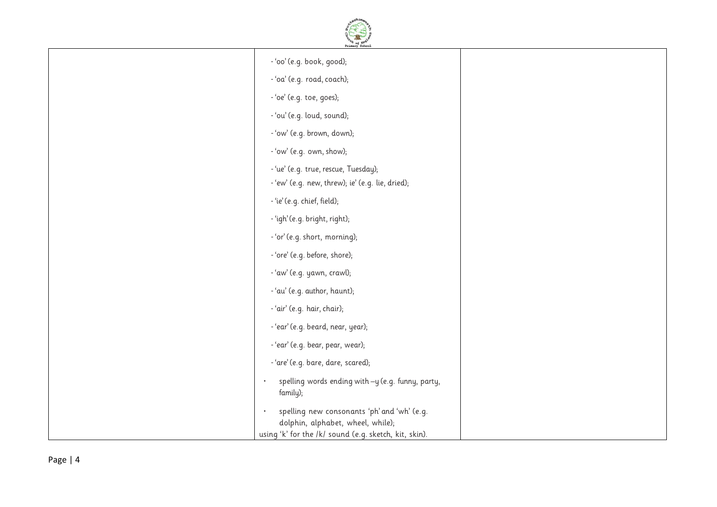

| - 'oo' (e.g. book, good);                                                        |  |
|----------------------------------------------------------------------------------|--|
|                                                                                  |  |
| - 'oa' (e.g. road, coach);                                                       |  |
| - 'oe' (e.g. toe, goes);                                                         |  |
| - 'ou' (e.g. loud, sound);                                                       |  |
| - 'ow' (e.g. brown, down);                                                       |  |
| - 'ow' (e.g. own, show);                                                         |  |
| - 'ue' (e.g. true, rescue, Tuesday);                                             |  |
| - 'ew' (e.g. new, threw); ie' (e.g. lie, dried);                                 |  |
| - 'ie' (e.g. chief, field);                                                      |  |
| - 'igh' (e.g. bright, right);                                                    |  |
| - 'or' (e.g. short, morning);                                                    |  |
| - 'ore' (e.g. before, shore);                                                    |  |
| - 'aw' (e.g. yawn, crawl);                                                       |  |
| - 'au' (e.g. author, haunt);                                                     |  |
| - 'air' (e.g. hair, chair);                                                      |  |
| - 'ear' (e.g. beard, near, year);                                                |  |
| - 'ear' (e.g. bear, pear, wear);                                                 |  |
| - 'are' (e.g. bare, dare, scared);                                               |  |
| spelling words ending with -y (e.g. funny, party,<br>family);                    |  |
| spelling new consonants 'ph' and 'wh' (e.g.<br>dolphin, alphabet, wheel, while); |  |
| using 'k' for the /k/ sound (e.g. sketch, kit, skin).                            |  |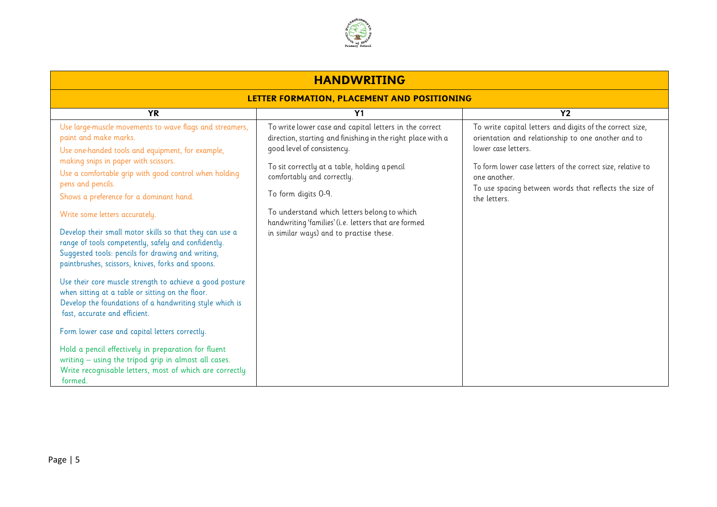

| <b>HANDWRITING</b>                                                                                                                                                                                                       |                                                                                                                                                                                                      |                                                                                                                                                                                                      |  |  |  |  |
|--------------------------------------------------------------------------------------------------------------------------------------------------------------------------------------------------------------------------|------------------------------------------------------------------------------------------------------------------------------------------------------------------------------------------------------|------------------------------------------------------------------------------------------------------------------------------------------------------------------------------------------------------|--|--|--|--|
| LETTER FORMATION, PLACEMENT AND POSITIONING                                                                                                                                                                              |                                                                                                                                                                                                      |                                                                                                                                                                                                      |  |  |  |  |
| <b>YR</b><br><b>Y2</b><br>Y <sub>1</sub>                                                                                                                                                                                 |                                                                                                                                                                                                      |                                                                                                                                                                                                      |  |  |  |  |
| Use large-muscle movements to wave flags and streamers,<br>paint and make marks.<br>Use one-handed tools and equipment, for example,<br>making snips in paper with scissors.                                             | To write lower case and capital letters in the correct<br>direction, starting and finishing in the right place with a<br>good level of consistency.<br>To sit correctly at a table, holding a pencil | To write capital letters and digits of the correct size,<br>orientation and relationship to one another and to<br>lower case letters.<br>To form lower case letters of the correct size, relative to |  |  |  |  |
| Use a comfortable grip with good control when holding<br>pens and pencils.                                                                                                                                               | comfortably and correctly.                                                                                                                                                                           | one another.                                                                                                                                                                                         |  |  |  |  |
| Shows a preference for a dominant hand.                                                                                                                                                                                  | To form digits 0-9.                                                                                                                                                                                  | To use spacing between words that reflects the size of<br>the letters                                                                                                                                |  |  |  |  |
| Write some letters accurately.                                                                                                                                                                                           | To understand which letters belong to which<br>handwriting 'families' (i.e. letters that are formed                                                                                                  |                                                                                                                                                                                                      |  |  |  |  |
| Develop their small motor skills so that they can use a<br>range of tools competently, safely and confidently.<br>Suggested tools: pencils for drawing and writing,<br>paintbrushes, scissors, knives, forks and spoons. | in similar ways) and to practise these.                                                                                                                                                              |                                                                                                                                                                                                      |  |  |  |  |
| Use their core muscle strength to achieve a good posture<br>when sitting at a table or sitting on the floor.<br>Develop the foundations of a handwriting style which is<br>fast, accurate and efficient.                 |                                                                                                                                                                                                      |                                                                                                                                                                                                      |  |  |  |  |
| Form lower case and capital letters correctly.                                                                                                                                                                           |                                                                                                                                                                                                      |                                                                                                                                                                                                      |  |  |  |  |
| Hold a pencil effectively in preparation for fluent<br>writing - using the tripod grip in almost all cases.<br>Write recognisable letters, most of which are correctly<br>formed.                                        |                                                                                                                                                                                                      |                                                                                                                                                                                                      |  |  |  |  |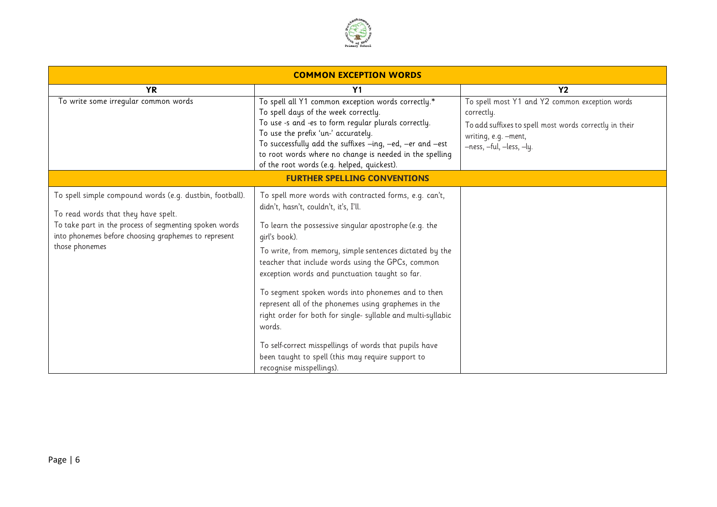

| <b>COMMON EXCEPTION WORDS</b>                                                                                                                                                                                                       |                                                                                                                                                                                                                                                                                                                                                                                                                                                                                                                                                                                                                                                                               |                                                                                                                                                                            |  |  |
|-------------------------------------------------------------------------------------------------------------------------------------------------------------------------------------------------------------------------------------|-------------------------------------------------------------------------------------------------------------------------------------------------------------------------------------------------------------------------------------------------------------------------------------------------------------------------------------------------------------------------------------------------------------------------------------------------------------------------------------------------------------------------------------------------------------------------------------------------------------------------------------------------------------------------------|----------------------------------------------------------------------------------------------------------------------------------------------------------------------------|--|--|
| <b>YR</b>                                                                                                                                                                                                                           | Y <sub>1</sub>                                                                                                                                                                                                                                                                                                                                                                                                                                                                                                                                                                                                                                                                | Y <sub>2</sub>                                                                                                                                                             |  |  |
| To write some irregular common words                                                                                                                                                                                                | To spell all Y1 common exception words correctly.*<br>To spell days of the week correctly.<br>To use -s and -es to form regular plurals correctly.<br>To use the prefix 'un-' accurately.<br>To successfully add the suffixes -ing, -ed, -er and -est<br>to root words where no change is needed in the spelling<br>of the root words (e.g. helped, quickest).                                                                                                                                                                                                                                                                                                                | To spell most Y1 and Y2 common exception words<br>correctly.<br>To add suffixes to spell most words correctly in their<br>writing, e.g. -ment,<br>-ness, -ful, -less, -ly. |  |  |
|                                                                                                                                                                                                                                     | <b>FURTHER SPELLING CONVENTIONS</b>                                                                                                                                                                                                                                                                                                                                                                                                                                                                                                                                                                                                                                           |                                                                                                                                                                            |  |  |
| To spell simple compound words (e.g. dustbin, football).<br>To read words that they have spelt.<br>To take part in the process of segmenting spoken words<br>into phonemes before choosing graphemes to represent<br>those phonemes | To spell more words with contracted forms, e.g. can't,<br>didn't, hasn't, couldn't, it's, I'll.<br>To learn the possessive singular apostrophe (e.g. the<br>qirl's book).<br>To write, from memory, simple sentences dictated by the<br>teacher that include words using the GPCs, common<br>exception words and punctuation taught so far.<br>To segment spoken words into phonemes and to then<br>represent all of the phonemes using graphemes in the<br>right order for both for single- syllable and multi-syllabic<br>words.<br>To self-correct misspellings of words that pupils have<br>been taught to spell (this may require support to<br>recognise misspellings). |                                                                                                                                                                            |  |  |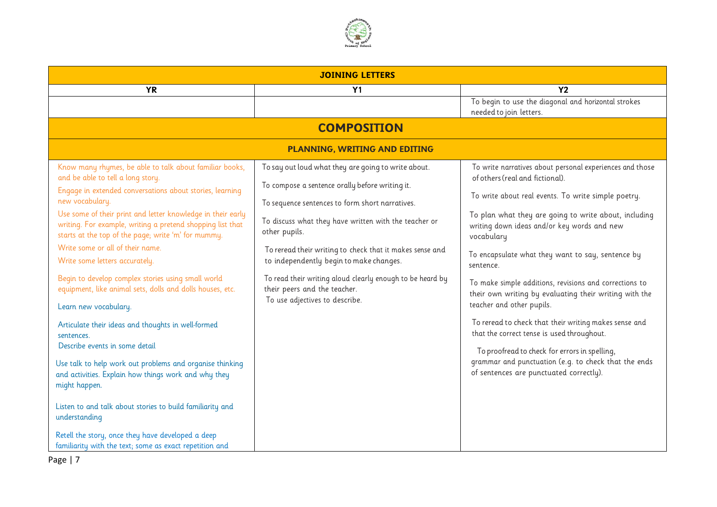

| <b>JOINING LETTERS</b>                                                                                                                                                                                                                                                                                                                                                                                                                                                                                                                                                                                                                                                                                                                                                                                                       |                                                                                                                                                                                                                                                                                                                                                                                                                                                                           |                                                                                                                                                                                                                                                                                                                                                                                                                                                                                                                                                                                                                                                                                                                                                        |  |  |  |
|------------------------------------------------------------------------------------------------------------------------------------------------------------------------------------------------------------------------------------------------------------------------------------------------------------------------------------------------------------------------------------------------------------------------------------------------------------------------------------------------------------------------------------------------------------------------------------------------------------------------------------------------------------------------------------------------------------------------------------------------------------------------------------------------------------------------------|---------------------------------------------------------------------------------------------------------------------------------------------------------------------------------------------------------------------------------------------------------------------------------------------------------------------------------------------------------------------------------------------------------------------------------------------------------------------------|--------------------------------------------------------------------------------------------------------------------------------------------------------------------------------------------------------------------------------------------------------------------------------------------------------------------------------------------------------------------------------------------------------------------------------------------------------------------------------------------------------------------------------------------------------------------------------------------------------------------------------------------------------------------------------------------------------------------------------------------------------|--|--|--|
| <b>YR</b>                                                                                                                                                                                                                                                                                                                                                                                                                                                                                                                                                                                                                                                                                                                                                                                                                    | Y1                                                                                                                                                                                                                                                                                                                                                                                                                                                                        | Y <sub>2</sub>                                                                                                                                                                                                                                                                                                                                                                                                                                                                                                                                                                                                                                                                                                                                         |  |  |  |
|                                                                                                                                                                                                                                                                                                                                                                                                                                                                                                                                                                                                                                                                                                                                                                                                                              |                                                                                                                                                                                                                                                                                                                                                                                                                                                                           | To begin to use the diagonal and horizontal strokes<br>needed to join letters.                                                                                                                                                                                                                                                                                                                                                                                                                                                                                                                                                                                                                                                                         |  |  |  |
|                                                                                                                                                                                                                                                                                                                                                                                                                                                                                                                                                                                                                                                                                                                                                                                                                              | <b>COMPOSITION</b>                                                                                                                                                                                                                                                                                                                                                                                                                                                        |                                                                                                                                                                                                                                                                                                                                                                                                                                                                                                                                                                                                                                                                                                                                                        |  |  |  |
|                                                                                                                                                                                                                                                                                                                                                                                                                                                                                                                                                                                                                                                                                                                                                                                                                              | <b>PLANNING, WRITING AND EDITING</b>                                                                                                                                                                                                                                                                                                                                                                                                                                      |                                                                                                                                                                                                                                                                                                                                                                                                                                                                                                                                                                                                                                                                                                                                                        |  |  |  |
| Know many rhymes, be able to talk about familiar books,<br>and be able to tell a long story.<br>Engage in extended conversations about stories, learning<br>new vocabulary.<br>Use some of their print and letter knowledge in their early<br>writing. For example, writing a pretend shopping list that<br>starts at the top of the page; write 'm' for mummy.<br>Write some or all of their name.<br>Write some letters accurately.<br>Begin to develop complex stories using small world<br>equipment, like animal sets, dolls and dolls houses, etc.<br>Learn new vocabulary.<br>Articulate their ideas and thoughts in well-formed<br>sentences.<br>Describe events in some detail<br>Use talk to help work out problems and organise thinking<br>and activities. Explain how things work and why they<br>might happen. | To say out loud what they are going to write about.<br>To compose a sentence orally before writing it.<br>To sequence sentences to form short narratives.<br>To discuss what they have written with the teacher or<br>other pupils.<br>To reread their writing to check that it makes sense and<br>to independently begin to make changes.<br>To read their writing aloud clearly enough to be heard by<br>their peers and the teacher.<br>To use adjectives to describe. | To write narratives about personal experiences and those<br>of others (real and fictional).<br>To write about real events. To write simple poetry.<br>To plan what they are going to write about, including<br>writing down ideas and/or key words and new<br>vocabulary<br>To encapsulate what they want to say, sentence by<br>sentence.<br>To make simple additions, revisions and corrections to<br>their own writing by evaluating their writing with the<br>teacher and other pupils.<br>To reread to check that their writing makes sense and<br>that the correct tense is used throughout.<br>To proofread to check for errors in spelling,<br>grammar and punctuation (e.g. to check that the ends<br>of sentences are punctuated correctly). |  |  |  |
| Listen to and talk about stories to build familiarity and<br>understanding                                                                                                                                                                                                                                                                                                                                                                                                                                                                                                                                                                                                                                                                                                                                                   |                                                                                                                                                                                                                                                                                                                                                                                                                                                                           |                                                                                                                                                                                                                                                                                                                                                                                                                                                                                                                                                                                                                                                                                                                                                        |  |  |  |
| Retell the story, once they have developed a deep<br>familiarity with the text; some as exact repetition and                                                                                                                                                                                                                                                                                                                                                                                                                                                                                                                                                                                                                                                                                                                 |                                                                                                                                                                                                                                                                                                                                                                                                                                                                           |                                                                                                                                                                                                                                                                                                                                                                                                                                                                                                                                                                                                                                                                                                                                                        |  |  |  |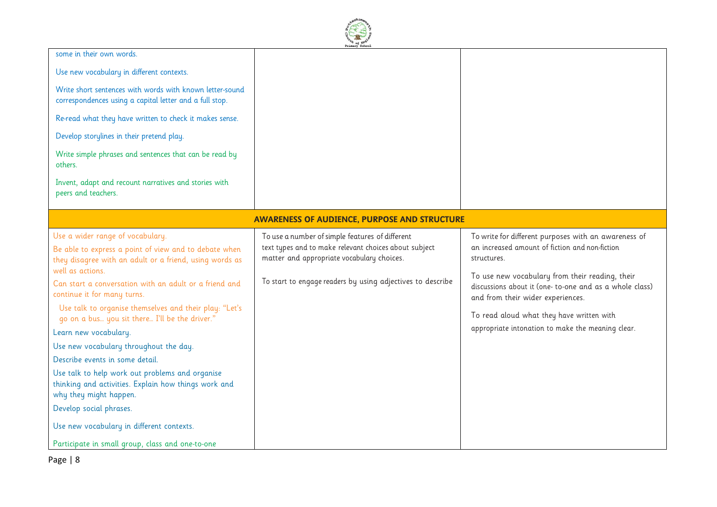

| some in their own words.                                                                                                                                                                                                                                                                                                                                                                                                                                                                                                                                                                                                                                                                                                                             |                                                                                                                                                                                                                      |                                                                                                                                                                                                                                                                                                                                                                            |
|------------------------------------------------------------------------------------------------------------------------------------------------------------------------------------------------------------------------------------------------------------------------------------------------------------------------------------------------------------------------------------------------------------------------------------------------------------------------------------------------------------------------------------------------------------------------------------------------------------------------------------------------------------------------------------------------------------------------------------------------------|----------------------------------------------------------------------------------------------------------------------------------------------------------------------------------------------------------------------|----------------------------------------------------------------------------------------------------------------------------------------------------------------------------------------------------------------------------------------------------------------------------------------------------------------------------------------------------------------------------|
| Use new vocabulary in different contexts.                                                                                                                                                                                                                                                                                                                                                                                                                                                                                                                                                                                                                                                                                                            |                                                                                                                                                                                                                      |                                                                                                                                                                                                                                                                                                                                                                            |
| Write short sentences with words with known letter-sound<br>correspondences using a capital letter and a full stop.                                                                                                                                                                                                                                                                                                                                                                                                                                                                                                                                                                                                                                  |                                                                                                                                                                                                                      |                                                                                                                                                                                                                                                                                                                                                                            |
| Re-read what they have written to check it makes sense.                                                                                                                                                                                                                                                                                                                                                                                                                                                                                                                                                                                                                                                                                              |                                                                                                                                                                                                                      |                                                                                                                                                                                                                                                                                                                                                                            |
| Develop storylines in their pretend play.                                                                                                                                                                                                                                                                                                                                                                                                                                                                                                                                                                                                                                                                                                            |                                                                                                                                                                                                                      |                                                                                                                                                                                                                                                                                                                                                                            |
| Write simple phrases and sentences that can be read by<br>others.                                                                                                                                                                                                                                                                                                                                                                                                                                                                                                                                                                                                                                                                                    |                                                                                                                                                                                                                      |                                                                                                                                                                                                                                                                                                                                                                            |
| Invent, adapt and recount narratives and stories with<br>peers and teachers.                                                                                                                                                                                                                                                                                                                                                                                                                                                                                                                                                                                                                                                                         |                                                                                                                                                                                                                      |                                                                                                                                                                                                                                                                                                                                                                            |
|                                                                                                                                                                                                                                                                                                                                                                                                                                                                                                                                                                                                                                                                                                                                                      | <b>AWARENESS OF AUDIENCE, PURPOSE AND STRUCTURE</b>                                                                                                                                                                  |                                                                                                                                                                                                                                                                                                                                                                            |
| Use a wider range of vocabulary.<br>Be able to express a point of view and to debate when<br>they disagree with an adult or a friend, using words as<br>well as actions.<br>Can start a conversation with an adult or a friend and<br>continue it for many turns.<br>Use talk to organise themselves and their play: "Let's<br>go on a bus you sit there I'll be the driver."<br>Learn new vocabulary.<br>Use new vocabulary throughout the day.<br>Describe events in some detail.<br>Use talk to help work out problems and organise<br>thinking and activities. Explain how things work and<br>why they might happen.<br>Develop social phrases.<br>Use new vocabulary in different contexts.<br>Participate in small group, class and one-to-one | To use a number of simple features of different<br>text types and to make relevant choices about subject<br>matter and appropriate vocabulary choices.<br>To start to engage readers by using adjectives to describe | To write for different purposes with an awareness of<br>an increased amount of fiction and non-fiction<br>structures.<br>To use new vocabulary from their reading, their<br>discussions about it (one- to-one and as a whole class)<br>and from their wider experiences.<br>To read aloud what they have written with<br>appropriate intonation to make the meaning clear. |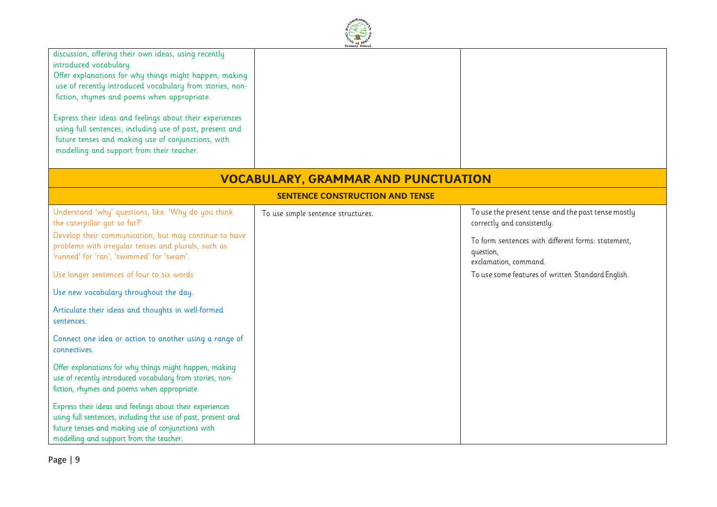| discussion, offering their own ideas, using recently<br>introduced vocabulary.<br>Offer explanations for why things might happen, making<br>use of recently introduced vocabulary from stories, non-<br>fiction, rhymes and poems when appropriate.<br>Express their ideas and feelings about their experiences<br>using full sentences, including use of past, present and<br>future tenses and making use of conjunctions, with<br>modelling and support from their teacher. |                                            |                                                                                          |
|--------------------------------------------------------------------------------------------------------------------------------------------------------------------------------------------------------------------------------------------------------------------------------------------------------------------------------------------------------------------------------------------------------------------------------------------------------------------------------|--------------------------------------------|------------------------------------------------------------------------------------------|
|                                                                                                                                                                                                                                                                                                                                                                                                                                                                                | <b>VOCABULARY, GRAMMAR AND PUNCTUATION</b> |                                                                                          |
|                                                                                                                                                                                                                                                                                                                                                                                                                                                                                | <b>SENTENCE CONSTRUCTION AND TENSE</b>     |                                                                                          |
| Understand 'why' questions, like: 'Why do you think<br>the caterpillar got so fat?'                                                                                                                                                                                                                                                                                                                                                                                            | To use simple sentence structures.         | To use the present tense and the past tense mostly<br>correctly and consistently.        |
| Develop their communication, but may continue to have<br>problems with irregular tenses and plurals, such as<br>'runned' for 'ran', 'swimmed' for 'swam'.                                                                                                                                                                                                                                                                                                                      |                                            | To form sentences with different forms: statement,<br>question,<br>exclamation, command. |
| Use longer sentences of four to six words                                                                                                                                                                                                                                                                                                                                                                                                                                      |                                            | To use some features of written Standard English.                                        |
| Use new vocabulary throughout the day.                                                                                                                                                                                                                                                                                                                                                                                                                                         |                                            |                                                                                          |
| Articulate their ideas and thoughts in well-formed<br>sentences.                                                                                                                                                                                                                                                                                                                                                                                                               |                                            |                                                                                          |
| Connect one idea or action to another using a range of<br>connectives.                                                                                                                                                                                                                                                                                                                                                                                                         |                                            |                                                                                          |
| Offer explanations for why things might happen, making<br>use of recently introduced vocabulary from stories, non-<br>fiction, rhymes and poems when appropriate.                                                                                                                                                                                                                                                                                                              |                                            |                                                                                          |
| Express their ideas and feelings about their experiences<br>using full sentences, including the use of past, present and<br>future tenses and making use of conjunctions with<br>modelling and support from the teacher.                                                                                                                                                                                                                                                       |                                            |                                                                                          |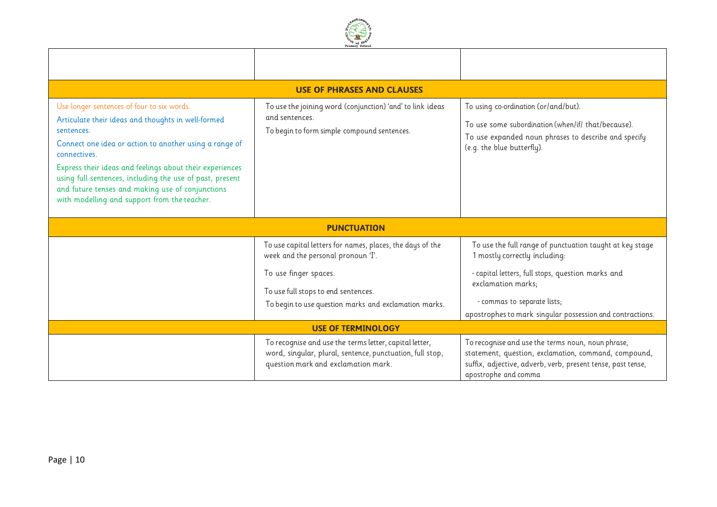

| <b>USE OF PHRASES AND CLAUSES</b>                                                                                                                                                                                                                                                                                                                                                                                    |                                                                                                                                                            |                                                                                                                                                                                                  |  |  |
|----------------------------------------------------------------------------------------------------------------------------------------------------------------------------------------------------------------------------------------------------------------------------------------------------------------------------------------------------------------------------------------------------------------------|------------------------------------------------------------------------------------------------------------------------------------------------------------|--------------------------------------------------------------------------------------------------------------------------------------------------------------------------------------------------|--|--|
| Use longer sentences of four to six words.<br>Articulate their ideas and thoughts in well-formed<br>sentences.<br>Connect one idea or action to another using a range of<br>connectives.<br>Express their ideas and feelings about their experiences<br>using full sentences, including the use of past, present<br>and future tenses and making use of conjunctions<br>with modelling and support from the teacher. | To use the joining word (conjunction) 'and' to link ideas<br>and sentences.<br>To begin to form simple compound sentences.                                 | To using co-ordination (or/and/but).<br>To use some subordination (when/if/ that/because).<br>To use expanded noun phrases to describe and specify<br>(e.g. the blue butterfly).                 |  |  |
|                                                                                                                                                                                                                                                                                                                                                                                                                      | <b>PUNCTUATION</b>                                                                                                                                         |                                                                                                                                                                                                  |  |  |
|                                                                                                                                                                                                                                                                                                                                                                                                                      | To use capital letters for names, places, the days of the<br>week and the personal pronoun 'I'.                                                            | To use the full range of punctuation taught at key stage<br>1 mostly correctly including:                                                                                                        |  |  |
|                                                                                                                                                                                                                                                                                                                                                                                                                      | To use finger spaces.<br>To use full stops to end sentences.<br>To begin to use question marks and exclamation marks.                                      | - capital letters, full stops, question marks and<br>exclamation marks;<br>- commas to separate lists;<br>apostrophes to mark singular possession and contractions.                              |  |  |
|                                                                                                                                                                                                                                                                                                                                                                                                                      | <b>USE OF TERMINOLOGY</b>                                                                                                                                  |                                                                                                                                                                                                  |  |  |
|                                                                                                                                                                                                                                                                                                                                                                                                                      | To recognise and use the terms letter, capital letter,<br>word, singular, plural, sentence, punctuation, full stop,<br>question mark and exclamation mark. | To recognise and use the terms noun, noun phrase,<br>statement, question, exclamation, command, compound,<br>suffix, adjective, adverb, verb, present tense, past tense,<br>apostrophe and comma |  |  |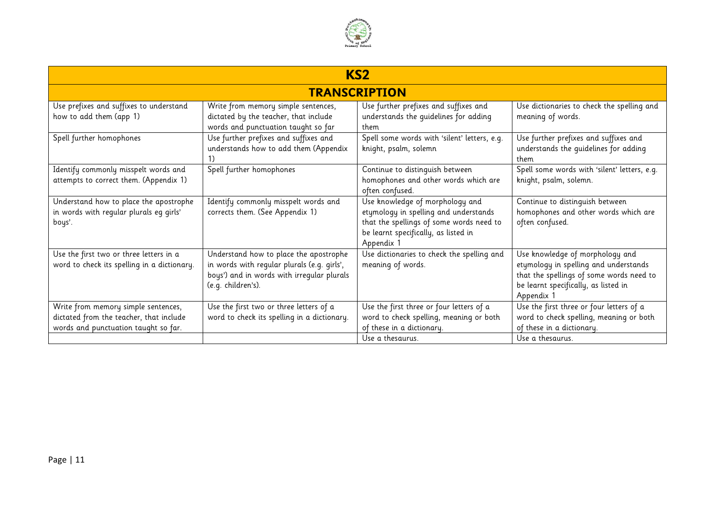

| KS <sub>2</sub>                                                                                                        |                                                                                                                                                           |                                                                                                                                                                                       |                                                                                                                                                                            |  |  |
|------------------------------------------------------------------------------------------------------------------------|-----------------------------------------------------------------------------------------------------------------------------------------------------------|---------------------------------------------------------------------------------------------------------------------------------------------------------------------------------------|----------------------------------------------------------------------------------------------------------------------------------------------------------------------------|--|--|
| <b>TRANSCRIPTION</b>                                                                                                   |                                                                                                                                                           |                                                                                                                                                                                       |                                                                                                                                                                            |  |  |
| Use prefixes and suffixes to understand<br>how to add them (app 1)                                                     | Write from memory simple sentences,<br>dictated by the teacher, that include<br>words and punctuation taught so far                                       | Use further prefixes and suffixes and<br>understands the guidelines for adding<br>them                                                                                                | Use dictionaries to check the spelling and<br>meaning of words.                                                                                                            |  |  |
| Spell further homophones                                                                                               | Use further prefixes and suffixes and<br>understands how to add them (Appendix                                                                            | Spell some words with 'silent' letters, e.g.<br>knight, psalm, solemn                                                                                                                 | Use further prefixes and suffixes and<br>understands the guidelines for adding<br>them                                                                                     |  |  |
| Identify commonly misspelt words and<br>attempts to correct them. (Appendix 1)                                         | Spell further homophones                                                                                                                                  | Continue to distinguish between<br>homophones and other words which are<br>often confused.                                                                                            | Spell some words with 'silent' letters, e.g.<br>knight, psalm, solemn.                                                                                                     |  |  |
| Understand how to place the apostrophe<br>in words with regular plurals eg girls'<br>boys'.                            | Identify commonly misspelt words and<br>corrects them. (See Appendix 1)                                                                                   | Use knowledge of morphology and<br>etymology in spelling and understands<br>that the spellings of some words need to<br>be learnt specifically, as listed in<br>Appendix <sup>1</sup> | Continue to distinguish between<br>homophones and other words which are<br>often confused.                                                                                 |  |  |
| Use the first two or three letters in a<br>word to check its spelling in a dictionary.                                 | Understand how to place the apostrophe<br>in words with regular plurals (e.g. girls',<br>boys') and in words with irregular plurals<br>(e.g. children's). | Use dictionaries to check the spelling and<br>meaning of words.                                                                                                                       | Use knowledge of morphology and<br>etymology in spelling and understands<br>that the spellings of some words need to<br>be learnt specifically, as listed in<br>Appendix 1 |  |  |
| Write from memory simple sentences,<br>dictated from the teacher, that include<br>words and punctuation taught so far. | Use the first two or three letters of a<br>word to check its spelling in a dictionary.                                                                    | Use the first three or four letters of a<br>word to check spelling, meaning or both<br>of these in a dictionary.<br>Use a thesaurus.                                                  | Use the first three or four letters of a<br>word to check spelling, meaning or both<br>of these in a dictionary.<br>Use a thesaurus.                                       |  |  |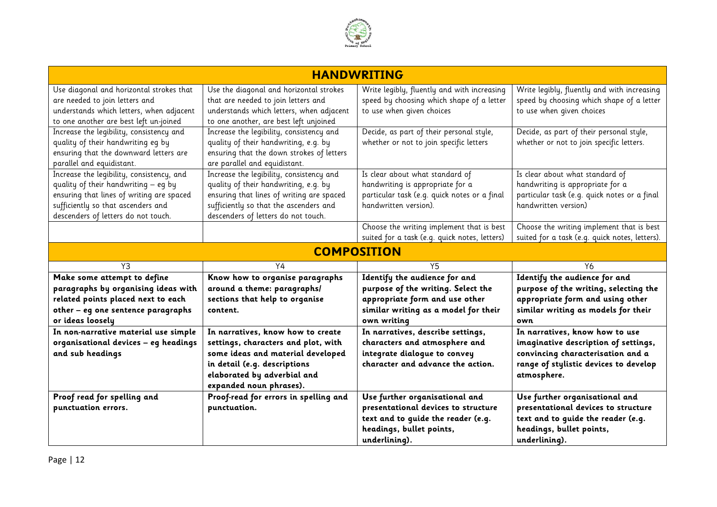

|                                                                                                                                                                                                             | <b>HANDWRITING</b>                                                                                                                                                                                              |                                                                                                                                              |                                                                                                                                                                     |  |  |  |
|-------------------------------------------------------------------------------------------------------------------------------------------------------------------------------------------------------------|-----------------------------------------------------------------------------------------------------------------------------------------------------------------------------------------------------------------|----------------------------------------------------------------------------------------------------------------------------------------------|---------------------------------------------------------------------------------------------------------------------------------------------------------------------|--|--|--|
| Use diagonal and horizontal strokes that<br>are needed to join letters and<br>understands which letters, when adjacent<br>to one another are best left un-joined                                            | Use the diagonal and horizontal strokes<br>that are needed to join letters and<br>understands which letters, when adjacent<br>to one another, are best left unjoined                                            | Write legibly, fluently and with increasing<br>speed by choosing which shape of a letter<br>to use when given choices                        | Write legibly, fluently and with increasing<br>speed by choosing which shape of a letter<br>to use when given choices                                               |  |  |  |
| Increase the legibility, consistency and<br>quality of their handwriting eg by<br>ensuring that the downward letters are<br>parallel and equidistant.                                                       | Increase the legibility, consistency and<br>quality of their handwriting, e.g. by<br>ensuring that the down strokes of letters<br>are parallel and equidistant.                                                 | Decide, as part of their personal style,<br>whether or not to join specific letters                                                          | Decide, as part of their personal style,<br>whether or not to join specific letters.                                                                                |  |  |  |
| Increase the legibility, consistency, and<br>quality of their handwriting - eq by<br>ensuring that lines of writing are spaced<br>sufficiently so that ascenders and<br>descenders of letters do not touch. | Increase the legibility, consistency and<br>quality of their handwriting, e.g. by<br>ensuring that lines of writing are spaced<br>sufficiently so that the ascenders and<br>descenders of letters do not touch. | Is clear about what standard of<br>handwriting is appropriate for a<br>particular task (e.g. quick notes or a final<br>handwritten version). | Is clear about what standard of<br>handwriting is appropriate for a<br>particular task (e.g. quick notes or a final<br>handwritten version)                         |  |  |  |
|                                                                                                                                                                                                             |                                                                                                                                                                                                                 | Choose the writing implement that is best<br>suited for a task (e.g. quick notes, letters)                                                   | Choose the writing implement that is best<br>suited for a task (e.g. quick notes, letters).                                                                         |  |  |  |
| <b>COMPOSITION</b>                                                                                                                                                                                          |                                                                                                                                                                                                                 |                                                                                                                                              |                                                                                                                                                                     |  |  |  |
|                                                                                                                                                                                                             |                                                                                                                                                                                                                 |                                                                                                                                              |                                                                                                                                                                     |  |  |  |
| Y3                                                                                                                                                                                                          | Y4                                                                                                                                                                                                              | Y5                                                                                                                                           | Y6                                                                                                                                                                  |  |  |  |
| Make some attempt to define                                                                                                                                                                                 | Know how to organise paragraphs                                                                                                                                                                                 | Identify the audience for and                                                                                                                | Identify the audience for and                                                                                                                                       |  |  |  |
| paragraphs by organising ideas with                                                                                                                                                                         | around a theme: paragraphs/                                                                                                                                                                                     | purpose of the writing. Select the                                                                                                           | purpose of the writing, selecting the                                                                                                                               |  |  |  |
| related points placed next to each                                                                                                                                                                          | sections that help to organise                                                                                                                                                                                  | appropriate form and use other                                                                                                               | appropriate form and using other                                                                                                                                    |  |  |  |
| other - eg one sentence paragraphs<br>or ideas loosely                                                                                                                                                      | content.                                                                                                                                                                                                        | similar writing as a model for their<br>own writing                                                                                          | similar writing as models for their<br>own                                                                                                                          |  |  |  |
| In non-narrative material use simple<br>organisational devices - eg headings<br>and sub headings                                                                                                            | In narratives, know how to create<br>settings, characters and plot, with<br>some ideas and material developed<br>in detail (e.g. descriptions<br>elaborated by adverbial and<br>expanded noun phrases).         | In narratives, describe settings,<br>characters and atmosphere and<br>integrate dialogue to convey<br>character and advance the action.      | In narratives, know how to use<br>imaginative description of settings,<br>convincing characterisation and a<br>range of stylistic devices to develop<br>atmosphere. |  |  |  |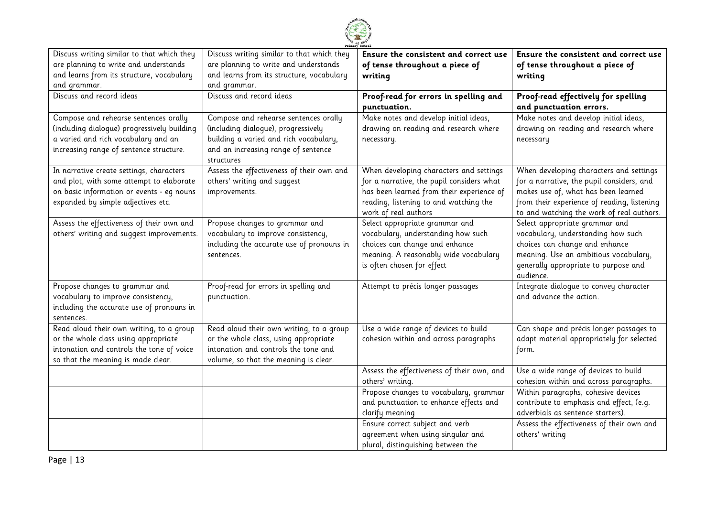

| Discuss writing similar to that which they  | Discuss writing similar to that which they | Ensure the consistent and correct use      | Ensure the consistent and correct use       |
|---------------------------------------------|--------------------------------------------|--------------------------------------------|---------------------------------------------|
| are planning to write and understands       | are planning to write and understands      | of tense throughout a piece of             | of tense throughout a piece of              |
| and learns from its structure, vocabulary   | and learns from its structure, vocabulary  | writing                                    | writing                                     |
| and grammar.                                | and grammar.                               |                                            |                                             |
| Discuss and record ideas                    | Discuss and record ideas                   | Proof-read for errors in spelling and      | Proof-read effectively for spelling         |
|                                             |                                            | punctuation.                               | and punctuation errors.                     |
| Compose and rehearse sentences orally       | Compose and rehearse sentences orally      | Make notes and develop initial ideas,      | Make notes and develop initial ideas,       |
| (including dialogue) progressively building | (including dialogue), progressively        | drawing on reading and research where      | drawing on reading and research where       |
| a varied and rich vocabulary and an         | building a varied and rich vocabulary,     | necessary.                                 | necessary                                   |
| increasing range of sentence structure.     | and an increasing range of sentence        |                                            |                                             |
|                                             | structures                                 |                                            |                                             |
| In narrative create settings, characters    | Assess the effectiveness of their own and  | When developing characters and settings    | When developing characters and settings     |
| and plot, with some attempt to elaborate    | others' writing and suggest                | for a narrative, the pupil considers what  | for a narrative, the pupil considers, and   |
| on basic information or events - eq nouns   | improvements.                              | has been learned from their experience of  | makes use of, what has been learned         |
| expanded by simple adjectives etc.          |                                            | reading, listening to and watching the     | from their experience of reading, listening |
|                                             |                                            | work of real authors                       | to and watching the work of real authors.   |
| Assess the effectiveness of their own and   | Propose changes to grammar and             | Select appropriate grammar and             | Select appropriate grammar and              |
| others' writing and suggest improvements.   | vocabulary to improve consistency,         | vocabulary, understanding how such         | vocabulary, understanding how such          |
|                                             | including the accurate use of pronouns in  | choices can change and enhance             | choices can change and enhance              |
|                                             | sentences.                                 | meaning. A reasonably wide vocabulary      | meaning. Use an ambitious vocabulary,       |
|                                             |                                            | is often chosen for effect                 | generally appropriate to purpose and        |
|                                             |                                            |                                            | audience.                                   |
| Propose changes to grammar and              | Proof-read for errors in spelling and      | Attempt to précis longer passages          | Integrate dialogue to convey character      |
| vocabulary to improve consistency,          | punctuation.                               |                                            | and advance the action.                     |
| including the accurate use of pronouns in   |                                            |                                            |                                             |
| sentences.                                  |                                            |                                            |                                             |
| Read aloud their own writing, to a group    | Read aloud their own writing, to a group   | Use a wide range of devices to build       | Can shape and précis longer passages to     |
| or the whole class using appropriate        | or the whole class, using appropriate      | cohesion within and across paragraphs      | adapt material appropriately for selected   |
| intonation and controls the tone of voice   | intonation and controls the tone and       |                                            | form.                                       |
| so that the meaning is made clear.          | volume, so that the meaning is clear.      |                                            |                                             |
|                                             |                                            | Assess the effectiveness of their own, and | Use a wide range of devices to build        |
|                                             |                                            | others' writing.                           | cohesion within and across paragraphs.      |
|                                             |                                            | Propose changes to vocabulary, grammar     | Within paragraphs, cohesive devices         |
|                                             |                                            | and punctuation to enhance effects and     | contribute to emphasis and effect, (e.g.    |
|                                             |                                            | clarify meaning                            | adverbials as sentence starters).           |
|                                             |                                            | Ensure correct subject and verb            | Assess the effectiveness of their own and   |
|                                             |                                            | agreement when using singular and          | others' writing                             |
|                                             |                                            | plural, distinguishing between the         |                                             |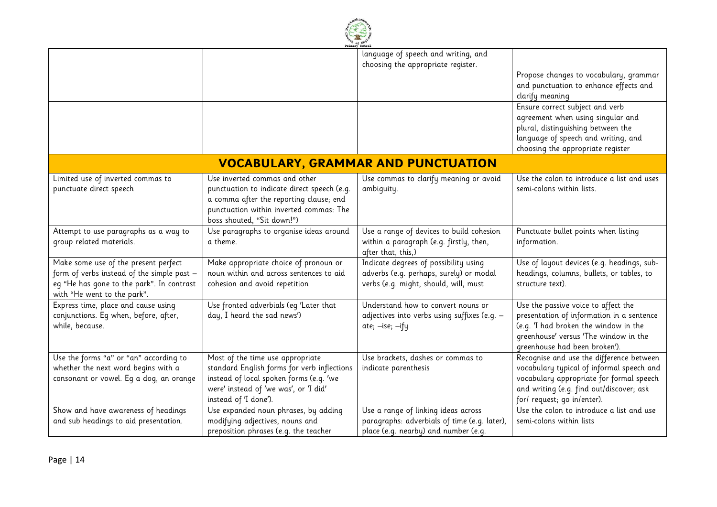

|                                                                                                                                                                |                                                                                                                                                                                                  | language of speech and writing, and<br>choosing the appropriate register.                                                   |                                                                                                                                                                                                              |  |  |
|----------------------------------------------------------------------------------------------------------------------------------------------------------------|--------------------------------------------------------------------------------------------------------------------------------------------------------------------------------------------------|-----------------------------------------------------------------------------------------------------------------------------|--------------------------------------------------------------------------------------------------------------------------------------------------------------------------------------------------------------|--|--|
|                                                                                                                                                                |                                                                                                                                                                                                  |                                                                                                                             | Propose changes to vocabulary, grammar<br>and punctuation to enhance effects and<br>clarify meaning                                                                                                          |  |  |
|                                                                                                                                                                |                                                                                                                                                                                                  |                                                                                                                             | Ensure correct subject and verb<br>agreement when using singular and<br>plural, distinguishing between the<br>language of speech and writing, and<br>choosing the appropriate register                       |  |  |
| <b>VOCABULARY, GRAMMAR AND PUNCTUATION</b>                                                                                                                     |                                                                                                                                                                                                  |                                                                                                                             |                                                                                                                                                                                                              |  |  |
| Limited use of inverted commas to<br>punctuate direct speech                                                                                                   | Use inverted commas and other<br>punctuation to indicate direct speech (e.g.<br>a comma after the reporting clause; end<br>punctuation within inverted commas: The<br>boss shouted, "Sit down!") | Use commas to clarify meaning or avoid<br>ambiquity.                                                                        | Use the colon to introduce a list and uses<br>semi-colons within lists.                                                                                                                                      |  |  |
| Attempt to use paragraphs as a way to<br>group related materials.                                                                                              | Use paragraphs to organise ideas around<br>a theme.                                                                                                                                              | Use a range of devices to build cohesion<br>within a paragraph (e.g. firstly, then,<br>after that, this,)                   | Punctuate bullet points when listing<br>information.                                                                                                                                                         |  |  |
| Make some use of the present perfect<br>form of verbs instead of the simple past -<br>eg "He has gone to the park". In contrast<br>with "He went to the park". | Make appropriate choice of pronoun or<br>noun within and across sentences to aid<br>cohesion and avoid repetition                                                                                | Indicate degrees of possibility using<br>adverbs (e.g. perhaps, surely) or modal<br>verbs (e.g. might, should, will, must   | Use of layout devices (e.g. headings, sub-<br>headings, columns, bullets, or tables, to<br>structure text).                                                                                                  |  |  |
| Express time, place and cause using<br>conjunctions. Eq when, before, after,<br>while, because.                                                                | Use fronted adverbials (eg 'Later that<br>day, I heard the sad news')                                                                                                                            | Understand how to convert nouns or<br>adjectives into verbs using suffixes (e.g. -<br>ate; -ise; -ify                       | Use the passive voice to affect the<br>presentation of information in a sentence<br>(e.g. 'I had broken the window in the<br>greenhouse' versus 'The window in the<br>greenhouse had been broken').          |  |  |
| Use the forms "a" or "an" according to<br>whether the next word begins with a<br>consonant or vowel. Eq a dog, an orange                                       | Most of the time use appropriate<br>standard English forms for verb inflections<br>instead of local spoken forms (e.g. 'we<br>were' instead of 'we was', or 'I did'<br>instead of 'I done').     | Use brackets, dashes or commas to<br>indicate parenthesis                                                                   | Recognise and use the difference between<br>vocabulary typical of informal speech and<br>vocabulary appropriate for formal speech<br>and writing (e.g. find out/discover; ask<br>for/ request; go in/enter). |  |  |
| Show and have awareness of headings<br>and sub headings to aid presentation.                                                                                   | Use expanded noun phrases, by adding<br>modifying adjectives, nouns and<br>preposition phrases (e.g. the teacher                                                                                 | Use a range of linking ideas across<br>paragraphs: adverbials of time (e.g. later),<br>place (e.g. nearby) and number (e.g. | Use the colon to introduce a list and use<br>semi-colons within lists                                                                                                                                        |  |  |